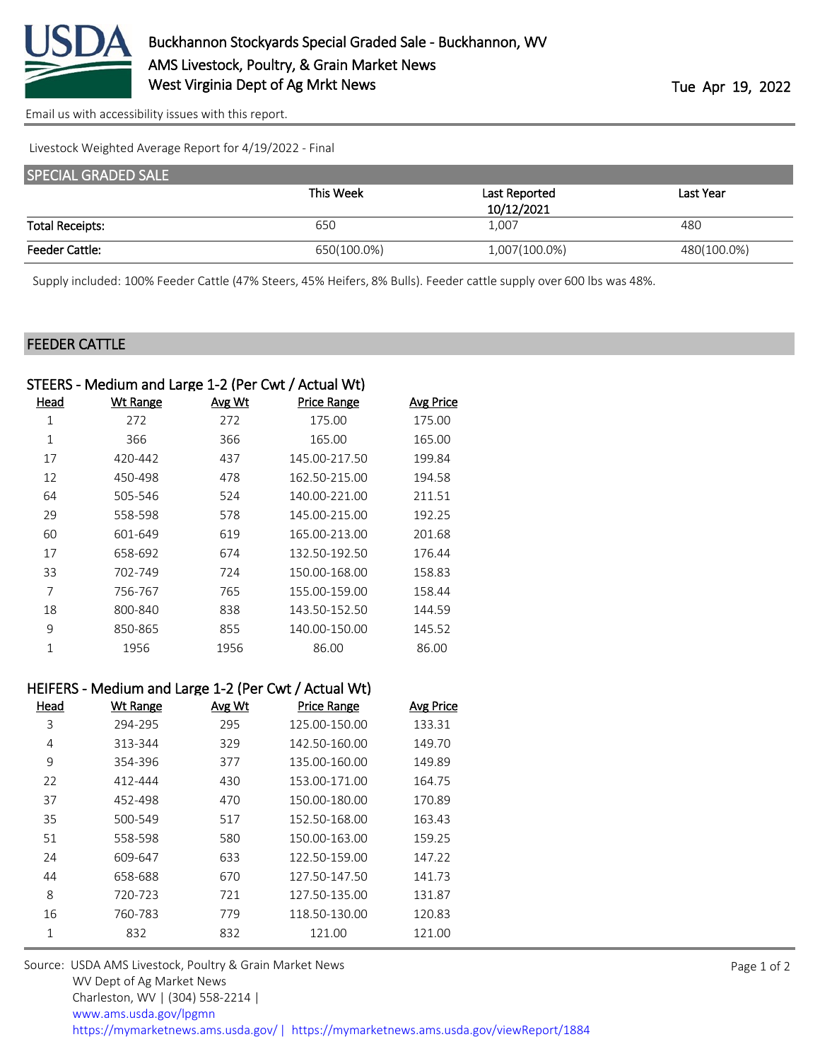

[Email us with accessibility issues with this report.](mailto:mars@ams.usda.gov?subject=508%20issue)

Livestock Weighted Average Report for 4/19/2022 - Final

| <b>SPECIAL GRADED SALE</b> |             |               |             |
|----------------------------|-------------|---------------|-------------|
|                            | This Week   | Last Reported | Last Year   |
|                            |             | 10/12/2021    |             |
| <b>Total Receipts:</b>     | 650         | 1,007         | 480         |
| <b>Feeder Cattle:</b>      | 650(100.0%) | 1,007(100.0%) | 480(100.0%) |

Supply included: 100% Feeder Cattle (47% Steers, 45% Heifers, 8% Bulls). Feeder cattle supply over 600 lbs was 48%.

## FEEDER CATTLE

|             | STEERS - Medium and Large 1-2 (Per Cwt / Actual Wt) |        |                    |                  |
|-------------|-----------------------------------------------------|--------|--------------------|------------------|
| <u>Head</u> | <b>Wt Range</b>                                     | Avg Wt | <b>Price Range</b> | <b>Avg Price</b> |
| 1           | 272                                                 | 272    | 175.00             | 175.00           |
| 1           | 366                                                 | 366    | 165.00             | 165.00           |
| 17          | 420-442                                             | 437    | 145.00-217.50      | 199.84           |
| 12          | 450-498                                             | 478    | 162.50-215.00      | 194.58           |
| 64          | 505-546                                             | 524    | 140.00-221.00      | 211.51           |
| 29          | 558-598                                             | 578    | 145.00-215.00      | 192.25           |
| 60          | 601-649                                             | 619    | 165.00-213.00      | 201.68           |
| 17          | 658-692                                             | 674    | 132.50-192.50      | 176.44           |
| 33          | 702-749                                             | 724    | 150.00-168.00      | 158.83           |
| 7           | 756-767                                             | 765    | 155.00-159.00      | 158.44           |
| 18          | 800-840                                             | 838    | 143.50-152.50      | 144.59           |
| 9           | 850-865                                             | 855    | 140.00-150.00      | 145.52           |
| 1           | 1956                                                | 1956   | 86.00              | 86.00            |
|             |                                                     |        |                    |                  |

|      |                 |               | HEIFERS - Medium and Large I-2 (Per CWt / Actual Wt) |                  |
|------|-----------------|---------------|------------------------------------------------------|------------------|
| Head | <b>Wt Range</b> | <b>Avg Wt</b> | <b>Price Range</b>                                   | <b>Avg Price</b> |
| 3    | 294-295         | 295           | 125.00-150.00                                        | 133.31           |
| 4    | 313-344         | 329           | 142.50-160.00                                        | 149.70           |
| 9    | 354-396         | 377           | 135.00-160.00                                        | 149.89           |
| 22   | 412-444         | 430           | 153.00-171.00                                        | 164.75           |
| 37   | 452-498         | 470           | 150.00-180.00                                        | 170.89           |
| 35   | 500-549         | 517           | 152.50-168.00                                        | 163.43           |
| 51   | 558-598         | 580           | 150.00-163.00                                        | 159.25           |
| 24   | 609-647         | 633           | 122.50-159.00                                        | 147.22           |
| 44   | 658-688         | 670           | 127.50-147.50                                        | 141.73           |
| 8    | 720-723         | 721           | 127.50-135.00                                        | 131.87           |
| 16   | 760-783         | 779           | 118.50-130.00                                        | 120.83           |
| 1    | 832             | 832           | 121.00                                               | 121.00           |
|      |                 |               |                                                      |                  |

 $H = H = \frac{1}{2}$ 

Source: USDA AMS Livestock, Poultry & Grain Market News WV Dept of Ag Market News Charleston, WV | (304) 558-2214 | [www.ams.usda.gov/lpgmn](https://www.ams.usda.gov/market-news) <https://mymarketnews.ams.usda.gov/> [|](https://www.ams.usda.gov/market-news) <https://mymarketnews.ams.usda.gov/viewReport/1884>